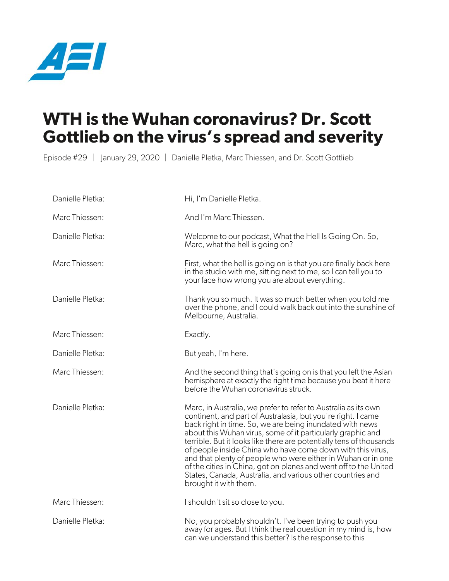

## **WTH is the Wuhan coronavirus? Dr. Scott Gottlieb on the virus's spread and severity**

Episode #29 | January 29, 2020 | Danielle Pletka, Marc Thiessen, and Dr. Scott Gottlieb

| Danielle Pletka: | Hi, I'm Danielle Pletka.                                                                                                                                                                                                                                                                                                                                                                                                                                                                                                                                                                                                  |
|------------------|---------------------------------------------------------------------------------------------------------------------------------------------------------------------------------------------------------------------------------------------------------------------------------------------------------------------------------------------------------------------------------------------------------------------------------------------------------------------------------------------------------------------------------------------------------------------------------------------------------------------------|
| Marc Thiessen:   | And I'm Marc Thiessen.                                                                                                                                                                                                                                                                                                                                                                                                                                                                                                                                                                                                    |
| Danielle Pletka: | Welcome to our podcast, What the Hell Is Going On. So,<br>Marc, what the hell is going on?                                                                                                                                                                                                                                                                                                                                                                                                                                                                                                                                |
| Marc Thiessen:   | First, what the hell is going on is that you are finally back here<br>in the studio with me, sitting next to me, so I can tell you to<br>your face how wrong you are about everything.                                                                                                                                                                                                                                                                                                                                                                                                                                    |
| Danielle Pletka: | Thank you so much. It was so much better when you told me<br>over the phone, and I could walk back out into the sunshine of<br>Melbourne, Australia.                                                                                                                                                                                                                                                                                                                                                                                                                                                                      |
| Marc Thiessen:   | Exactly.                                                                                                                                                                                                                                                                                                                                                                                                                                                                                                                                                                                                                  |
| Danielle Pletka: | But yeah, I'm here.                                                                                                                                                                                                                                                                                                                                                                                                                                                                                                                                                                                                       |
| Marc Thiessen:   | And the second thing that's going on is that you left the Asian<br>hemisphere at exactly the right time because you beat it here<br>before the Wuhan coronavirus struck.                                                                                                                                                                                                                                                                                                                                                                                                                                                  |
| Danielle Pletka: | Marc, in Australia, we prefer to refer to Australia as its own<br>continent, and part of Australasia, but you're right. I came<br>back right in time. So, we are being inundated with news<br>about this Wuhan virus, some of it particularly graphic and<br>terrible. But it looks like there are potentially tens of thousands<br>of people inside China who have come down with this virus,<br>and that plenty of people who were either in Wuhan or in one<br>of the cities in China, got on planes and went off to the United<br>States, Canada, Australia, and various other countries and<br>brought it with them. |
| Marc Thiessen:   | I shouldn't sit so close to you.                                                                                                                                                                                                                                                                                                                                                                                                                                                                                                                                                                                          |
| Danielle Pletka: | No, you probably shouldn't. I've been trying to push you<br>away for ages. But I think the real question in my mind is, how<br>can we understand this better? Is the response to this                                                                                                                                                                                                                                                                                                                                                                                                                                     |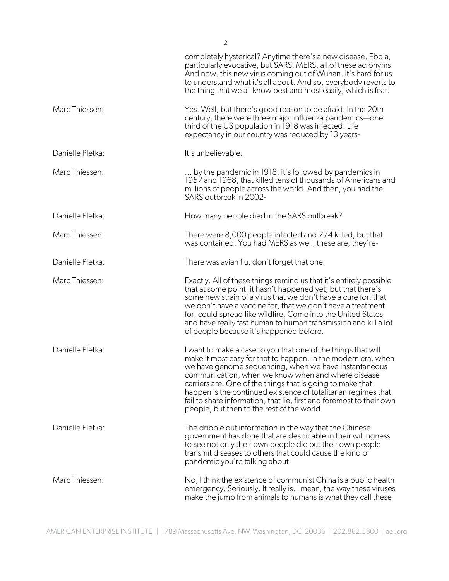|                  | completely hysterical? Anytime there's a new disease, Ebola,<br>particularly evocative, but SARS, MERS, all of these acronyms.<br>And now, this new virus coming out of Wuhan, it's hard for us<br>to understand what it's all about. And so, everybody reverts to<br>the thing that we all know best and most easily, which is fear.                                                                                                                                                               |
|------------------|-----------------------------------------------------------------------------------------------------------------------------------------------------------------------------------------------------------------------------------------------------------------------------------------------------------------------------------------------------------------------------------------------------------------------------------------------------------------------------------------------------|
| Marc Thiessen:   | Yes. Well, but there's good reason to be afraid. In the 20th<br>century, there were three major influenza pandemics-one<br>third of the US population in 1918 was infected. Life<br>expectancy in our country was reduced by 13 years-                                                                                                                                                                                                                                                              |
| Danielle Pletka: | It's unbelievable.                                                                                                                                                                                                                                                                                                                                                                                                                                                                                  |
| Marc Thiessen:   | by the pandemic in 1918, it's followed by pandemics in<br>1957 and 1968, that killed tens of thousands of Americans and<br>millions of people across the world. And then, you had the<br>SARS outbreak in 2002-                                                                                                                                                                                                                                                                                     |
| Danielle Pletka: | How many people died in the SARS outbreak?                                                                                                                                                                                                                                                                                                                                                                                                                                                          |
| Marc Thiessen:   | There were 8,000 people infected and 774 killed, but that<br>was contained. You had MERS as well, these are, they're-                                                                                                                                                                                                                                                                                                                                                                               |
| Danielle Pletka: | There was avian flu, don't forget that one.                                                                                                                                                                                                                                                                                                                                                                                                                                                         |
| Marc Thiessen:   | Exactly. All of these things remind us that it's entirely possible<br>that at some point, it hasn't happened yet, but that there's<br>some new strain of a virus that we don't have a cure for, that<br>we don't have a vaccine for, that we don't have a treatment<br>for, could spread like wildfire. Come into the United States<br>and have really fast human to human transmission and kill a lot<br>of people because it's happened before.                                                   |
| Danielle Pletka: | I want to make a case to you that one of the things that will<br>make it most easy for that to happen, in the modern era, when<br>we have genome sequencing, when we have instantaneous<br>communication, when we know when and where disease<br>carriers are. One of the things that is going to make that<br>happen is the continued existence of totalitarian regimes that<br>fail to share information, that lie, first and foremost to their own<br>people, but then to the rest of the world. |
| Danielle Pletka: | The dribble out information in the way that the Chinese<br>government has done that are despicable in their willingness<br>to see not only their own people die but their own people<br>transmit diseases to others that could cause the kind of<br>pandemic you're talking about.                                                                                                                                                                                                                  |
| Marc Thiessen:   | No, I think the existence of communist China is a public health<br>emergency. Seriously. It really is. I mean, the way these viruses<br>make the jump from animals to humans is what they call these                                                                                                                                                                                                                                                                                                |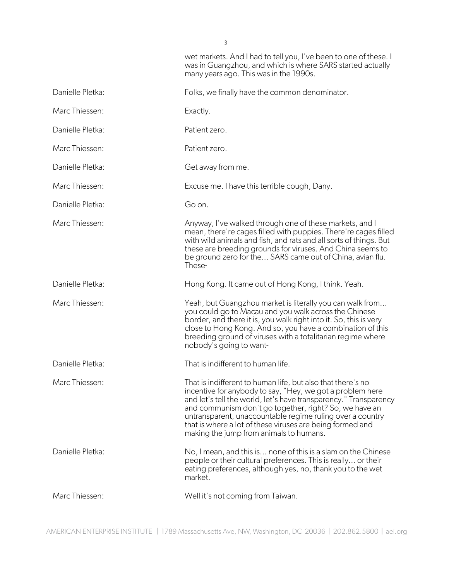many years ago. This was in the 1990s.

wet markets. And I had to tell you, I've been to one of these. I was in Guangzhou, and which is where SARS started actually

| Danielle Pletka: | Folks, we finally have the common denominator.                                                                                                                                                                                                                                                                                                                                                                              |
|------------------|-----------------------------------------------------------------------------------------------------------------------------------------------------------------------------------------------------------------------------------------------------------------------------------------------------------------------------------------------------------------------------------------------------------------------------|
| Marc Thiessen:   | Exactly.                                                                                                                                                                                                                                                                                                                                                                                                                    |
| Danielle Pletka: | Patient zero.                                                                                                                                                                                                                                                                                                                                                                                                               |
| Marc Thiessen:   | Patient zero.                                                                                                                                                                                                                                                                                                                                                                                                               |
| Danielle Pletka: | Get away from me.                                                                                                                                                                                                                                                                                                                                                                                                           |
| Marc Thiessen:   | Excuse me. I have this terrible cough, Dany.                                                                                                                                                                                                                                                                                                                                                                                |
| Danielle Pletka: | Go on.                                                                                                                                                                                                                                                                                                                                                                                                                      |
| Marc Thiessen:   | Anyway, I've walked through one of these markets, and I<br>mean, there're cages filled with puppies. There're cages filled<br>with wild animals and fish, and rats and all sorts of things. But<br>these are breeding grounds for viruses. And China seems to<br>be ground zero for the SARS came out of China, avian flu.<br>These-                                                                                        |
| Danielle Pletka: | Hong Kong. It came out of Hong Kong, I think. Yeah.                                                                                                                                                                                                                                                                                                                                                                         |
| Marc Thiessen:   | Yeah, but Guangzhou market is literally you can walk from<br>you could go to Macau and you walk across the Chinese<br>border, and there it is, you walk right into it. So, this is very<br>close to Hong Kong. And so, you have a combination of this<br>breeding ground of viruses with a totalitarian regime where<br>nobody's going to want-                                                                             |
| Danielle Pletka: | That is indifferent to human life.                                                                                                                                                                                                                                                                                                                                                                                          |
| Marc Thiessen:   | That is indifferent to human life, but also that there's no<br>incentive for anybody to say, "Hey, we got a problem here<br>and let's tell the world, let's have transparency." Transparency<br>and communism don't go together, right? So, we have an<br>untransparent, unaccountable regime ruling over a country<br>that is where a lot of these viruses are being formed and<br>making the jump from animals to humans. |
| Danielle Pletka: | No, I mean, and this is none of this is a slam on the Chinese<br>people or their cultural preferences. This is really or their<br>eating preferences, although yes, no, thank you to the wet<br>market.                                                                                                                                                                                                                     |
| Marc Thiessen:   | Well it's not coming from Taiwan.                                                                                                                                                                                                                                                                                                                                                                                           |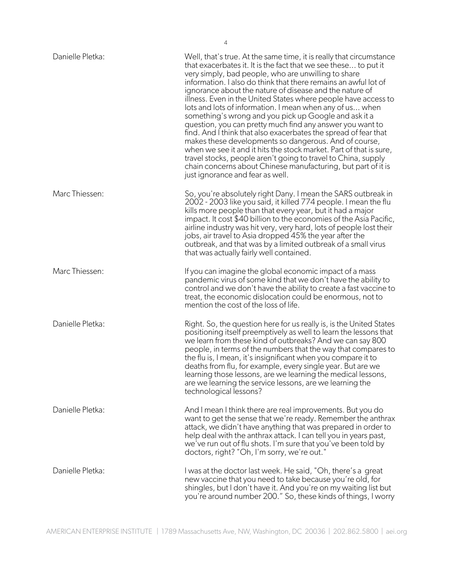| Danielle Pletka: | Well, that's true. At the same time, it is really that circumstance<br>that exacerbates it. It is the fact that we see these to put it<br>very simply, bad people, who are unwilling to share<br>information. I also do think that there remains an awful lot of<br>ignorance about the nature of disease and the nature of<br>illness. Even in the United States where people have access to<br>lots and lots of information. I mean when any of us when<br>something's wrong and you pick up Google and ask it a<br>question, you can pretty much find any answer you want to<br>find. And I think that also exacerbates the spread of fear that<br>makes these developments so dangerous. And of course,<br>when we see it and it hits the stock market. Part of that is sure,<br>travel stocks, people aren't going to travel to China, supply<br>chain concerns about Chinese manufacturing, but part of it is<br>just ignorance and fear as well. |
|------------------|---------------------------------------------------------------------------------------------------------------------------------------------------------------------------------------------------------------------------------------------------------------------------------------------------------------------------------------------------------------------------------------------------------------------------------------------------------------------------------------------------------------------------------------------------------------------------------------------------------------------------------------------------------------------------------------------------------------------------------------------------------------------------------------------------------------------------------------------------------------------------------------------------------------------------------------------------------|
| Marc Thiessen:   | So, you're absolutely right Dany. I mean the SARS outbreak in<br>2002 - 2003 like you said, it killed 774 people. I mean the flu<br>kills more people than that every year, but it had a major<br>impact. It cost \$40 billion to the economies of the Asia Pacific,<br>airline industry was hit very, very hard, lots of people lost their<br>jobs, air travel to Asia dropped 45% the year after the<br>outbreak, and that was by a limited outbreak of a small virus<br>that was actually fairly well contained.                                                                                                                                                                                                                                                                                                                                                                                                                                     |
| Marc Thiessen:   | If you can imagine the global economic impact of a mass<br>pandemic virus of some kind that we don't have the ability to<br>control and we don't have the ability to create a fast vaccine to<br>treat, the economic dislocation could be enormous, not to<br>mention the cost of the loss of life.                                                                                                                                                                                                                                                                                                                                                                                                                                                                                                                                                                                                                                                     |
| Danielle Pletka: | Right. So, the question here for us really is, is the United States<br>positioning itself preemptively as well to learn the lessons that<br>we learn from these kind of outbreaks? And we can say 800<br>people, in terms of the numbers that the way that compares to<br>the flu is, I mean, it's insignificant when you compare it to<br>deaths from flu, for example, every single year. But are we<br>learning those lessons, are we learning the medical lessons<br>are we learning the service lessons, are we learning the<br>technological lessons?                                                                                                                                                                                                                                                                                                                                                                                             |
| Danielle Pletka: | And I mean I think there are real improvements. But you do<br>want to get the sense that we're ready. Remember the anthrax<br>attack, we didn't have anything that was prepared in order to<br>help deal with the anthrax attack. I can tell you in years past,<br>we've run out of flu shots. I'm sure that you've been told by<br>doctors, right? "Oh, I'm sorry, we're out."                                                                                                                                                                                                                                                                                                                                                                                                                                                                                                                                                                         |
| Danielle Pletka: | I was at the doctor last week. He said, "Oh, there's a great<br>new vaccine that you need to take because you're old, for<br>shingles, but I don't have it. And you're on my waiting list but<br>you're around number 200." So, these kinds of things, I worry                                                                                                                                                                                                                                                                                                                                                                                                                                                                                                                                                                                                                                                                                          |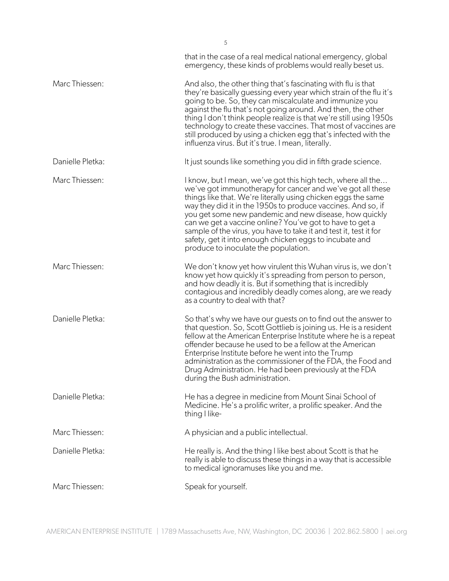|                  | that in the case of a real medical national emergency, global<br>emergency, these kinds of problems would really beset us.                                                                                                                                                                                                                                                                                                                                                                                                                               |
|------------------|----------------------------------------------------------------------------------------------------------------------------------------------------------------------------------------------------------------------------------------------------------------------------------------------------------------------------------------------------------------------------------------------------------------------------------------------------------------------------------------------------------------------------------------------------------|
| Marc Thiessen:   | And also, the other thing that's fascinating with flu is that<br>they're basically guessing every year which strain of the fluit's<br>going to be. So, they can miscalculate and immunize you<br>against the flu that's not going around. And then, the other<br>thing I don't think people realize is that we're still using 1950s<br>technology to create these vaccines. That most of vaccines are<br>still produced by using a chicken egg that's infected with the<br>influenza virus. But it's true. I mean, literally.                            |
| Danielle Pletka: | It just sounds like something you did in fifth grade science.                                                                                                                                                                                                                                                                                                                                                                                                                                                                                            |
| Marc Thiessen:   | I know, but I mean, we've got this high tech, where all the<br>we've got immunotherapy for cancer and we've got all these<br>things like that. We're literally using chicken eggs the same<br>way they did it in the 1950s to produce vaccines. And so, if<br>you get some new pandemic and new disease, how quickly<br>can we get a vaccine online? You've got to have to get a<br>sample of the virus, you have to take it and test it, test it for<br>safety, get it into enough chicken eggs to incubate and<br>produce to inoculate the population. |
| Marc Thiessen:   | We don't know yet how virulent this Wuhan virus is, we don't<br>know yet how quickly it's spreading from person to person,<br>and how deadly it is. But if something that is incredibly<br>contagious and incredibly deadly comes along, are we ready<br>as a country to deal with that?                                                                                                                                                                                                                                                                 |
| Danielle Pletka: | So that's why we have our guests on to find out the answer to<br>that question. So, Scott Gottlieb is joining us. He is a resident<br>fellow at the American Enterprise Institute where he is a repeat<br>offender because he used to be a fellow at the American<br>Enterprise Institute before he went into the Trump<br>administration as the commissioner of the FDA, the Food and<br>Drug Administration. He had been previously at the FDA<br>during the Bush administration.                                                                      |
| Danielle Pletka: | He has a degree in medicine from Mount Sinai School of<br>Medicine. He's a prolific writer, a prolific speaker. And the<br>thing I like-                                                                                                                                                                                                                                                                                                                                                                                                                 |
| Marc Thiessen:   | A physician and a public intellectual.                                                                                                                                                                                                                                                                                                                                                                                                                                                                                                                   |
| Danielle Pletka: | He really is. And the thing I like best about Scott is that he<br>really is able to discuss these things in a way that is accessible<br>to medical ignoramuses like you and me.                                                                                                                                                                                                                                                                                                                                                                          |
| Marc Thiessen:   | Speak for yourself.                                                                                                                                                                                                                                                                                                                                                                                                                                                                                                                                      |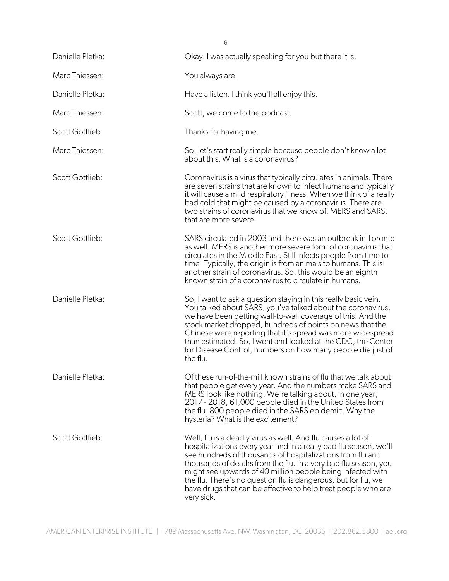| 6                |                                                                                                                                                                                                                                                                                                                                                                                                                                                                                   |  |
|------------------|-----------------------------------------------------------------------------------------------------------------------------------------------------------------------------------------------------------------------------------------------------------------------------------------------------------------------------------------------------------------------------------------------------------------------------------------------------------------------------------|--|
| Danielle Pletka: | Okay. I was actually speaking for you but there it is.                                                                                                                                                                                                                                                                                                                                                                                                                            |  |
| Marc Thiessen:   | You always are.                                                                                                                                                                                                                                                                                                                                                                                                                                                                   |  |
| Danielle Pletka: | Have a listen. I think you'll all enjoy this.                                                                                                                                                                                                                                                                                                                                                                                                                                     |  |
| Marc Thiessen:   | Scott, welcome to the podcast.                                                                                                                                                                                                                                                                                                                                                                                                                                                    |  |
| Scott Gottlieb:  | Thanks for having me.                                                                                                                                                                                                                                                                                                                                                                                                                                                             |  |
| Marc Thiessen:   | So, let's start really simple because people don't know a lot<br>about this. What is a coronavirus?                                                                                                                                                                                                                                                                                                                                                                               |  |
| Scott Gottlieb:  | Coronavirus is a virus that typically circulates in animals. There<br>are seven strains that are known to infect humans and typically<br>it will cause a mild respiratory illness. When we think of a really<br>bad cold that might be caused by a coronavirus. There are<br>two strains of coronavirus that we know of, MERS and SARS,<br>that are more severe.                                                                                                                  |  |
| Scott Gottlieb:  | SARS circulated in 2003 and there was an outbreak in Toronto<br>as well. MERS is another more severe form of coronavirus that<br>circulates in the Middle East. Still infects people from time to<br>time. Typically, the origin is from animals to humans. This is<br>another strain of coronavirus. So, this would be an eighth<br>known strain of a coronavirus to circulate in humans.                                                                                        |  |
| Danielle Pletka: | So, I want to ask a question staying in this really basic vein.<br>You talked about SARS, you've talked about the coronavirus,<br>we have been getting wall-to-wall coverage of this. And the<br>stock market dropped, hundreds of points on news that the<br>Chinese were reporting that it's spread was more widespread<br>than estimated. So, I went and looked at the CDC, the Center<br>for Disease Control, numbers on how many people die just of<br>the flu.              |  |
| Danielle Pletka: | Of these run-of-the-mill known strains of flu that we talk about<br>that people get every year. And the numbers make SARS and<br>MERS look like nothing. We're talking about, in one year,<br>2017 - 2018, 61,000 people died in the United States from<br>the flu. 800 people died in the SARS epidemic. Why the<br>hysteria? What is the excitement?                                                                                                                            |  |
| Scott Gottlieb:  | Well, flu is a deadly virus as well. And flu causes a lot of<br>hospitalizations every year and in a really bad flu season, we'll<br>see hundreds of thousands of hospitalizations from flu and<br>thousands of deaths from the flu. In a very bad flu season, you<br>might see upwards of 40 million people being infected with<br>the flu. There's no question flu is dangerous, but for flu, we<br>have drugs that can be effective to help treat people who are<br>very sick. |  |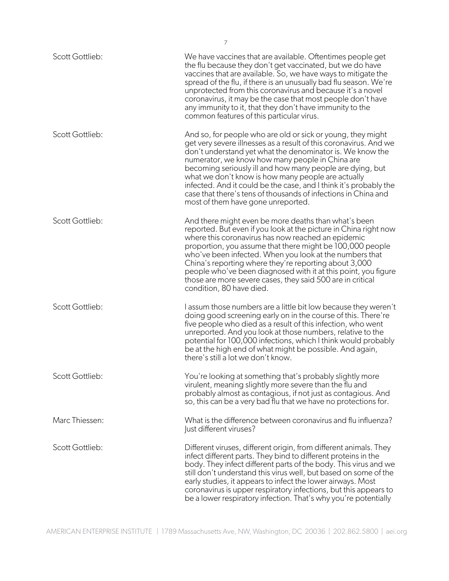| Scott Gottlieb: | We have vaccines that are available. Oftentimes people get<br>the flu because they don't get vaccinated, but we do have<br>vaccines that are available. So, we have ways to mitigate the<br>spread of the flu, if there is an unusually bad flu season. We're<br>unprotected from this coronavirus and because it's a novel<br>coronavirus, it may be the case that most people don't have<br>any immunity to it, that they don't have immunity to the<br>common features of this particular virus.                                              |
|-----------------|--------------------------------------------------------------------------------------------------------------------------------------------------------------------------------------------------------------------------------------------------------------------------------------------------------------------------------------------------------------------------------------------------------------------------------------------------------------------------------------------------------------------------------------------------|
| Scott Gottlieb: | And so, for people who are old or sick or young, they might<br>get very severe illnesses as a result of this coronavirus. And we<br>don't understand yet what the denominator is. We know the<br>numerator, we know how many people in China are<br>becoming seriously ill and how many people are dying, but<br>what we don't know is how many people are actually<br>infected. And it could be the case, and I think it's probably the<br>case that there's tens of thousands of infections in China and<br>most of them have gone unreported. |
| Scott Gottlieb: | And there might even be more deaths than what's been<br>reported. But even if you look at the picture in China right now<br>where this coronavirus has now reached an epidemic<br>proportion, you assume that there might be 100,000 people<br>who've been infected. When you look at the numbers that<br>China's reporting where they're reporting about 3,000<br>people who've been diagnosed with it at this point, you figure<br>those are more severe cases, they said 500 are in critical<br>condition, 80 have died.                      |
| Scott Gottlieb: | I assum those numbers are a little bit low because they weren't<br>doing good screening early on in the course of this. There're<br>five people who died as a result of this infection, who went<br>unreported. And you look at those numbers, relative to the<br>potential for 100,000 infections, which I think would probably<br>be at the high end of what might be possible. And again,<br>there's still a lot we don't know.                                                                                                               |
| Scott Gottlieb: | You're looking at something that's probably slightly more<br>virulent, meaning slightly more severe than the flu and<br>probably almost as contagious, if not just as contagious. And<br>so, this can be a very bad flu that we have no protections for.                                                                                                                                                                                                                                                                                         |
| Marc Thiessen:  | What is the difference between coronavirus and flu influenza?<br>Just different viruses?                                                                                                                                                                                                                                                                                                                                                                                                                                                         |
| Scott Gottlieb: | Different viruses, different origin, from different animals. They<br>infect different parts. They bind to different proteins in the<br>body. They infect different parts of the body. This virus and we<br>still don't understand this virus well, but based on some of the<br>early studies, it appears to infect the lower airways. Most<br>coronavirus is upper respiratory infections, but this appears to<br>be a lower respiratory infection. That's why you're potentially                                                                |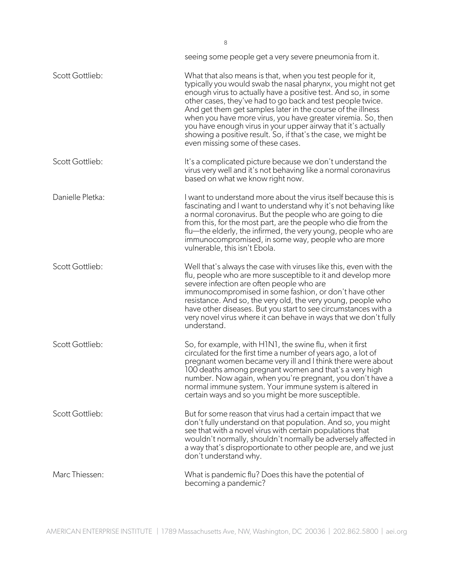|                  | seeing some people get a very severe pneumonia from it.                                                                                                                                                                                                                                                                                                                                                                                                                                                                                                            |
|------------------|--------------------------------------------------------------------------------------------------------------------------------------------------------------------------------------------------------------------------------------------------------------------------------------------------------------------------------------------------------------------------------------------------------------------------------------------------------------------------------------------------------------------------------------------------------------------|
| Scott Gottlieb:  | What that also means is that, when you test people for it,<br>typically you would swab the nasal pharynx, you might not get<br>enough virus to actually have a positive test. And so, in some<br>other cases, they've had to go back and test people twice.<br>And get them get samples later in the course of the illness<br>when you have more virus, you have greater viremia. So, then<br>you have enough virus in your upper airway that it's actually<br>showing a positive result. So, if that's the case, we might be<br>even missing some of these cases. |
| Scott Gottlieb:  | It's a complicated picture because we don't understand the<br>virus very well and it's not behaving like a normal coronavirus<br>based on what we know right now.                                                                                                                                                                                                                                                                                                                                                                                                  |
| Danielle Pletka: | I want to understand more about the virus itself because this is<br>fascinating and I want to understand why it's not behaving like<br>a normal coronavirus. But the people who are going to die<br>from this, for the most part, are the people who die from the<br>flu—the elderly, the infirmed, the very young, people who are<br>immunocompromised, in some way, people who are more<br>vulnerable, this isn't Ebola.                                                                                                                                         |
| Scott Gottlieb:  | Well that's always the case with viruses like this, even with the<br>flu, people who are more susceptible to it and develop more<br>severe infection are often people who are<br>immunocompromised in some fashion, or don't have other<br>resistance. And so, the very old, the very young, people who<br>have other diseases. But you start to see circumstances with a<br>very novel virus where it can behave in ways that we don't fully<br>understand.                                                                                                       |
| Scott Gottlieb:  | So, for example, with H1N1, the swine flu, when it first<br>circulated for the first time a number of years ago, a lot of<br>pregnant women became very ill and I think there were about<br>100 deaths among pregnant women and that's a very high<br>number. Now again, when you're pregnant, you don't have a<br>normal immune system. Your immune system is altered in<br>certain ways and so you might be more susceptible.                                                                                                                                    |
| Scott Gottlieb:  | But for some reason that virus had a certain impact that we<br>don't fully understand on that population. And so, you might<br>see that with a novel virus with certain populations that<br>wouldn't normally, shouldn't normally be adversely affected in<br>a way that's disproportionate to other people are, and we just<br>don't understand why.                                                                                                                                                                                                              |
| Marc Thiessen:   | What is pandemic flu? Does this have the potential of<br>becoming a pandemic?                                                                                                                                                                                                                                                                                                                                                                                                                                                                                      |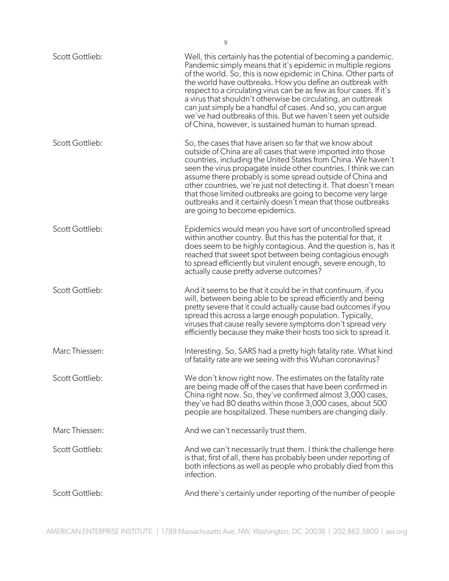| Scott Gottlieb:        | Well, this certainly has the potential of becoming a pandemic.<br>Pandemic simply means that it's epidemic in multiple regions<br>of the world. So, this is now epidemic in China. Other parts of<br>the world have outbreaks. How you define an outbreak with<br>respect to a circulating virus can be as few as four cases. If it's<br>a virus that shouldn't otherwise be circulating, an outbreak<br>can just simply be a handful of cases. And so, you can argue<br>we've had outbreaks of this. But we haven't seen yet outside<br>of China, however, is sustained human to human spread. |
|------------------------|-------------------------------------------------------------------------------------------------------------------------------------------------------------------------------------------------------------------------------------------------------------------------------------------------------------------------------------------------------------------------------------------------------------------------------------------------------------------------------------------------------------------------------------------------------------------------------------------------|
| Scott Gottlieb:        | So, the cases that have arisen so far that we know about<br>outside of China are all cases that were imported into those<br>countries, including the United States from China. We haven't<br>seen the virus propagate inside other countries. I think we can<br>assume there probably is some spread outside of China and<br>other countries, we're just not detecting it. That doesn't mean<br>that those limited outbreaks are going to become very large<br>outbreaks and it certainly doesn't mean that those outbreaks<br>are going to become epidemics.                                   |
| Scott Gottlieb:        | Epidemics would mean you have sort of uncontrolled spread<br>within another country. But this has the potential for that, it<br>does seem to be highly contagious. And the question is, has it<br>reached that sweet spot between being contagious enough<br>to spread efficiently but virulent enough, severe enough, to<br>actually cause pretty adverse outcomes?                                                                                                                                                                                                                            |
| Scott Gottlieb:        | And it seems to be that it could be in that continuum, if you<br>will, between being able to be spread efficiently and being<br>pretty severe that it could actually cause bad outcomes if you<br>spread this across a large enough population. Typically,<br>viruses that cause really severe symptoms don't spread very<br>efficiently because they make their hosts too sick to spread it.                                                                                                                                                                                                   |
| Marc Thiessen:         | Interesting. So, SARS had a pretty high fatality rate. What kind<br>of fatality rate are we seeing with this Wuhan coronavirus?                                                                                                                                                                                                                                                                                                                                                                                                                                                                 |
| Scott Gottlieb:        | We don't know right now. The estimates on the fatality rate<br>are being made off of the cases that have been confirmed in<br>China right now. So, they've confirmed almost 3,000 cases,<br>they've had 80 deaths within those 3,000 cases, about 500<br>people are hospitalized. These numbers are changing daily.                                                                                                                                                                                                                                                                             |
| Marc Thiessen:         | And we can't necessarily trust them.                                                                                                                                                                                                                                                                                                                                                                                                                                                                                                                                                            |
| Scott Gottlieb:        | And we can't necessarily trust them. I think the challenge here<br>is that, first of all, there has probably been under reporting of<br>both infections as well as people who probably died from this<br>infection.                                                                                                                                                                                                                                                                                                                                                                             |
| <b>Scott Gottlieb:</b> | And there's certainly under reporting of the number of people                                                                                                                                                                                                                                                                                                                                                                                                                                                                                                                                   |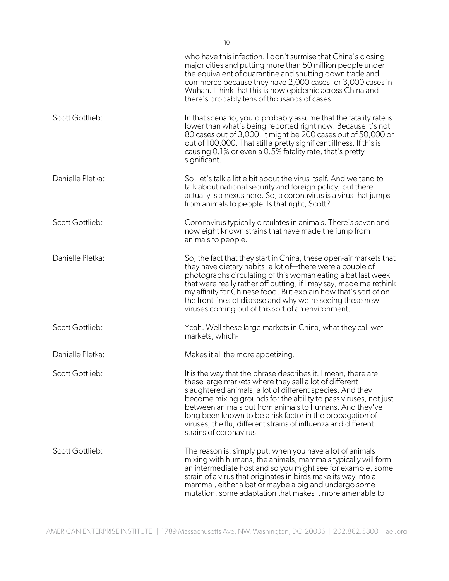|                  | who have this infection. I don't surmise that China's closing<br>major cities and putting more than 50 million people under<br>the equivalent of quarantine and shutting down trade and<br>commerce because they have 2,000 cases, or 3,000 cases in<br>Wuhan. I think that this is now epidemic across China and<br>there's probably tens of thousands of cases.                                                                                                            |
|------------------|------------------------------------------------------------------------------------------------------------------------------------------------------------------------------------------------------------------------------------------------------------------------------------------------------------------------------------------------------------------------------------------------------------------------------------------------------------------------------|
| Scott Gottlieb:  | In that scenario, you'd probably assume that the fatality rate is<br>lower than what's being reported right now. Because it's not<br>80 cases out of 3,000, it might be 200 cases out of 50,000 or<br>out of 100,000. That still a pretty significant illness. If this is<br>causing 0.1% or even a 0.5% fatality rate, that's pretty<br>significant.                                                                                                                        |
| Danielle Pletka: | So, let's talk a little bit about the virus itself. And we tend to<br>talk about national security and foreign policy, but there<br>actually is a nexus here. So, a coronavirus is a virus that jumps<br>from animals to people. Is that right, Scott?                                                                                                                                                                                                                       |
| Scott Gottlieb:  | Coronavirus typically circulates in animals. There's seven and<br>now eight known strains that have made the jump from<br>animals to people.                                                                                                                                                                                                                                                                                                                                 |
| Danielle Pletka: | So, the fact that they start in China, these open-air markets that<br>they have dietary habits, a lot of—there were a couple of<br>photographs circulating of this woman eating a bat last week<br>that were really rather off putting, if I may say, made me rethink<br>my affinity for Chinese food. But explain how that's sort of on<br>the front lines of disease and why we're seeing these new<br>viruses coming out of this sort of an environment.                  |
| Scott Gottlieb:  | Yeah. Well these large markets in China, what they call wet<br>markets, which-                                                                                                                                                                                                                                                                                                                                                                                               |
| Danielle Pletka: | Makes it all the more appetizing.                                                                                                                                                                                                                                                                                                                                                                                                                                            |
| Scott Gottlieb:  | It is the way that the phrase describes it. I mean, there are<br>these large markets where they sell a lot of different<br>slaughtered animals, a lot of different species. And they<br>become mixing grounds for the ability to pass viruses, not just<br>between animals but from animals to humans. And they've<br>long been known to be a risk factor in the propagation of<br>viruses, the flu, different strains of influenza and different<br>strains of coronavirus. |
| Scott Gottlieb:  | The reason is, simply put, when you have a lot of animals<br>mixing with humans, the animals, mammals typically will form<br>an intermediate host and so you might see for example, some<br>strain of a virus that originates in birds make its way into a<br>mammal, either a bat or maybe a pig and undergo some<br>mutation, some adaptation that makes it more amenable to                                                                                               |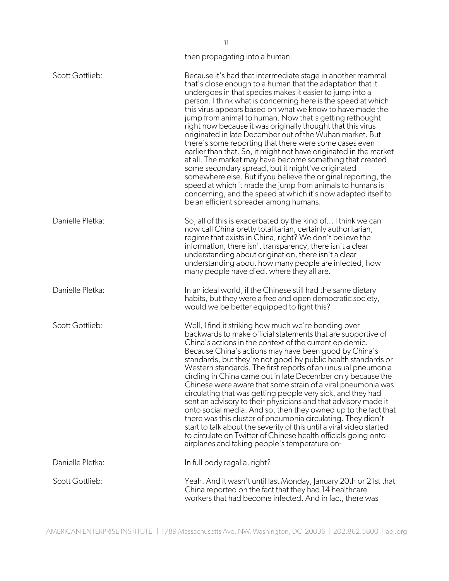|                        | then propagating into a human.                                                                                                                                                                                                                                                                                                                                                                                                                                                                                                                                                                                                                                                                                                                                                                                                                                                                                                                                                                      |
|------------------------|-----------------------------------------------------------------------------------------------------------------------------------------------------------------------------------------------------------------------------------------------------------------------------------------------------------------------------------------------------------------------------------------------------------------------------------------------------------------------------------------------------------------------------------------------------------------------------------------------------------------------------------------------------------------------------------------------------------------------------------------------------------------------------------------------------------------------------------------------------------------------------------------------------------------------------------------------------------------------------------------------------|
| Scott Gottlieb:        | Because it's had that intermediate stage in another mammal<br>that's close enough to a human that the adaptation that it<br>undergoes in that species makes it easier to jump into a<br>person. I think what is concerning here is the speed at which<br>this virus appears based on what we know to have made the<br>jump from animal to human. Now that's getting rethought<br>right now because it was originally thought that this virus<br>originated in late December out of the Wuhan market. But<br>there's some reporting that there were some cases even<br>earlier than that. So, it might not have originated in the market<br>at all. The market may have become something that created<br>some secondary spread, but it might've originated<br>somewhere else. But if you believe the original reporting, the<br>speed at which it made the jump from animals to humans is<br>concerning, and the speed at which it's now adapted itself to<br>be an efficient spreader among humans. |
| Danielle Pletka:       | So, all of this is exacerbated by the kind of I think we can<br>now call China pretty totalitarian, certainly authoritarian,<br>regime that exists in China, right? We don't believe the<br>information, there isn't transparency, there isn't a clear<br>understanding about origination, there isn't a clear<br>understanding about how many people are infected, how<br>many people have died, where they all are.                                                                                                                                                                                                                                                                                                                                                                                                                                                                                                                                                                               |
| Danielle Pletka:       | In an ideal world, if the Chinese still had the same dietary<br>habits, but they were a free and open democratic society,<br>would we be better equipped to fight this?                                                                                                                                                                                                                                                                                                                                                                                                                                                                                                                                                                                                                                                                                                                                                                                                                             |
| Scott Gottlieb:        | Well, I find it striking how much we're bending over<br>backwards to make official statements that are supportive of<br>China's actions in the context of the current epidemic.<br>Because China's actions may have been good by China's<br>standards, but they're not good by public health standards or<br>Western standards. The first reports of an unusual pneumonia<br>circling in China came out in late December only because the<br>Chinese were aware that some strain of a viral pneumonia was<br>circulating that was getting people very sick, and they had<br>sent an advisory to their physicians and that advisory made it<br>onto social media. And so, then they owned up to the fact that<br>there was this cluster of pneumonia circulating. They didn't<br>start to talk about the severity of this until a viral video started<br>to circulate on Twitter of Chinese health officials going onto<br>airplanes and taking people's temperature on-                             |
| Danielle Pletka:       | In full body regalia, right?                                                                                                                                                                                                                                                                                                                                                                                                                                                                                                                                                                                                                                                                                                                                                                                                                                                                                                                                                                        |
| <b>Scott Gottlieb:</b> | Yeah. And it wasn't until last Monday, January 20th or 21st that<br>China reported on the fact that they had 14 healthcare<br>workers that had become infected. And in fact, there was                                                                                                                                                                                                                                                                                                                                                                                                                                                                                                                                                                                                                                                                                                                                                                                                              |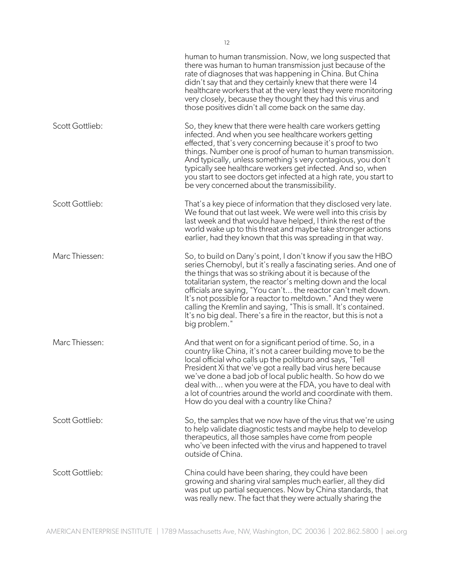|                 | human to human transmission. Now, we long suspected that<br>there was human to human transmission just because of the<br>rate of diagnoses that was happening in China. But China<br>didn't say that and they certainly knew that there were 14<br>healthcare workers that at the very least they were monitoring<br>very closely, because they thought they had this virus and<br>those positives didn't all come back on the same day.                                                                                                                     |
|-----------------|--------------------------------------------------------------------------------------------------------------------------------------------------------------------------------------------------------------------------------------------------------------------------------------------------------------------------------------------------------------------------------------------------------------------------------------------------------------------------------------------------------------------------------------------------------------|
| Scott Gottlieb: | So, they knew that there were health care workers getting<br>infected. And when you see healthcare workers getting<br>effected, that's very concerning because it's proof to two<br>things. Number one is proof of human to human transmission.<br>And typically, unless something's very contagious, you don't<br>typically see healthcare workers get infected. And so, when<br>you start to see doctors get infected at a high rate, you start to<br>be very concerned about the transmissibility.                                                        |
| Scott Gottlieb: | That's a key piece of information that they disclosed very late.<br>We found that out last week. We were well into this crisis by<br>last week and that would have helped, I think the rest of the<br>world wake up to this threat and maybe take stronger actions<br>earlier, had they known that this was spreading in that way.                                                                                                                                                                                                                           |
| Marc Thiessen:  | So, to build on Dany's point, I don't know if you saw the HBO<br>series Chernobyl, but it's really a fascinating series. And one of<br>the things that was so striking about it is because of the<br>totalitarian system, the reactor's melting down and the local<br>officials are saying, "You can't the reactor can't melt down.<br>It's not possible for a reactor to meltdown." And they were<br>calling the Kremlin and saying, "This is small. It's contained.<br>It's no big deal. There's a fire in the reactor, but this is not a<br>big problem." |
| Marc Thiessen:  | And that went on for a significant period of time. So, in a<br>country like China, it's not a career building move to be the<br>local official who calls up the politburo and says, "Tell<br>President Xi that we've got a really bad virus here because<br>we've done a bad job of local public health. So how do we<br>deal with when you were at the FDA, you have to deal with<br>a lot of countries around the world and coordinate with them.<br>How do you deal with a country like China?                                                            |
| Scott Gottlieb: | So, the samples that we now have of the virus that we're using<br>to help validate diagnostic tests and maybe help to develop<br>therapeutics, all those samples have come from people<br>who've been infected with the virus and happened to travel<br>outside of China.                                                                                                                                                                                                                                                                                    |
| Scott Gottlieb: | China could have been sharing, they could have been<br>growing and sharing viral samples much earlier, all they did<br>was put up partial sequences. Now by China standards, that<br>was really new. The fact that they were actually sharing the                                                                                                                                                                                                                                                                                                            |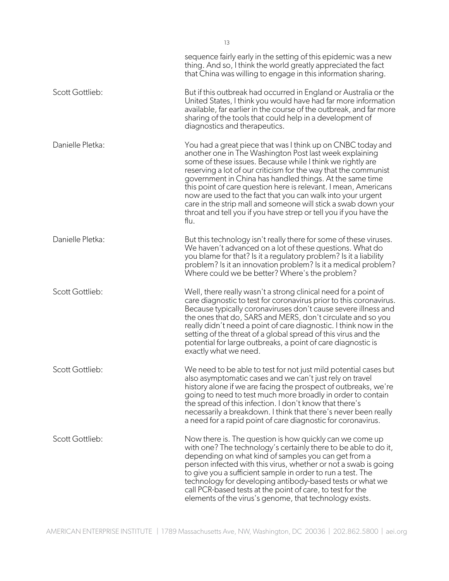|                  | sequence fairly early in the setting of this epidemic was a new<br>thing. And so, I think the world greatly appreciated the fact<br>that China was willing to engage in this information sharing.                                                                                                                                                                                                                                                                                                                                                                                                    |
|------------------|------------------------------------------------------------------------------------------------------------------------------------------------------------------------------------------------------------------------------------------------------------------------------------------------------------------------------------------------------------------------------------------------------------------------------------------------------------------------------------------------------------------------------------------------------------------------------------------------------|
| Scott Gottlieb:  | But if this outbreak had occurred in England or Australia or the<br>United States, I think you would have had far more information<br>available, far earlier in the course of the outbreak, and far more<br>sharing of the tools that could help in a development of<br>diagnostics and therapeutics.                                                                                                                                                                                                                                                                                                |
| Danielle Pletka: | You had a great piece that was I think up on CNBC today and<br>another one in The Washington Post last week explaining<br>some of these issues. Because while I think we rightly are<br>reserving a lot of our criticism for the way that the communist<br>government in China has handled things. At the same time<br>this point of care question here is relevant. I mean, Americans<br>now are used to the fact that you can walk into your urgent<br>care in the strip mall and someone will stick a swab down your<br>throat and tell you if you have strep or tell you if you have the<br>flu. |
| Danielle Pletka: | But this technology isn't really there for some of these viruses.<br>We haven't advanced on a lot of these questions. What do<br>you blame for that? Is it a regulatory problem? Is it a liability<br>problem? Is it an innovation problem? Is it a medical problem?<br>Where could we be better? Where's the problem?                                                                                                                                                                                                                                                                               |
| Scott Gottlieb:  | Well, there really wasn't a strong clinical need for a point of<br>care diagnostic to test for coronavirus prior to this coronavirus.<br>Because typically coronaviruses don't cause severe illness and<br>the ones that do, SARS and MERS, don't circulate and so you<br>really didn't need a point of care diagnostic. I think now in the<br>setting of the threat of a global spread of this virus and the<br>potential for large outbreaks, a point of care diagnostic is<br>exactly what we need.                                                                                               |
| Scott Gottlieb:  | We need to be able to test for not just mild potential cases but<br>also asymptomatic cases and we can't just rely on travel<br>history alone if we are facing the prospect of outbreaks, we're<br>going to need to test much more broadly in order to contain<br>the spread of this infection. I don't know that there's<br>necessarily a breakdown. I think that there's never been really<br>a need for a rapid point of care diagnostic for coronavirus.                                                                                                                                         |
| Scott Gottlieb:  | Now there is. The question is how quickly can we come up<br>with one? The technology's certainly there to be able to do it,<br>depending on what kind of samples you can get from a<br>person infected with this virus, whether or not a swab is going<br>to give you a sufficient sample in order to run a test. The<br>technology for developing antibody-based tests or what we<br>call PCR-based tests at the point of care, to test for the<br>elements of the virus's genome, that technology exists.                                                                                          |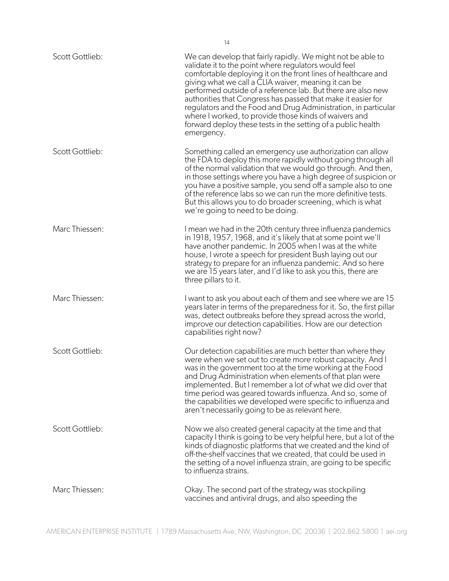| Scott Gottlieb: | We can develop that fairly rapidly. We might not be able to<br>validate it to the point where regulators would feel<br>comfortable deploying it on the front lines of healthcare and<br>giving what we call a CLIA waiver, meaning it can be<br>performed outside of a reference lab. But there are also new<br>authorities that Congress has passed that make it easier for<br>regulators and the Food and Drug Administration, in particular<br>where I worked, to provide those kinds of waivers and<br>forward deploy these tests in the setting of a public health<br>emergency. |
|-----------------|---------------------------------------------------------------------------------------------------------------------------------------------------------------------------------------------------------------------------------------------------------------------------------------------------------------------------------------------------------------------------------------------------------------------------------------------------------------------------------------------------------------------------------------------------------------------------------------|
| Scott Gottlieb: | Something called an emergency use authorization can allow<br>the FDA to deploy this more rapidly without going through all<br>of the normal validation that we would go through. And then,<br>in those settings where you have a high degree of suspicion or<br>you have a positive sample, you send off a sample also to one<br>of the reference labs so we can run the more definitive tests.<br>But this allows you to do broader screening, which is what<br>we're going to need to be doing.                                                                                     |
| Marc Thiessen:  | I mean we had in the 20th century three influenza pandemics<br>in 1918, 1957, 1968, and it's likely that at some point we'll<br>have another pandemic. In 2005 when I was at the white<br>house, I wrote a speech for president Bush laying out our<br>strategy to prepare for an influenza pandemic. And so here<br>we are 15 years later, and I'd like to ask you this, there are<br>three pillars to it.                                                                                                                                                                           |
| Marc Thiessen:  | I want to ask you about each of them and see where we are 15<br>years later in terms of the preparedness for it. So, the first pillar<br>was, detect outbreaks before they spread across the world,<br>improve our detection capabilities. How are our detection<br>capabilities right now?                                                                                                                                                                                                                                                                                           |
| Scott Gottlieb: | Our detection capabilities are much better than where they<br>were when we set out to create more robust capacity. And I<br>was in the government too at the time working at the Food<br>and Drug Administration when elements of that plan were<br>implemented. But I remember a lot of what we did over that<br>time period was geared towards influenza. And so, some of<br>the capabilities we developed were specific to influenza and<br>aren't necessarily going to be as relevant here.                                                                                       |
| Scott Gottlieb: | Now we also created general capacity at the time and that<br>capacity I think is going to be very helpful here, but a lot of the<br>kinds of diagnostic platforms that we created and the kind of<br>off-the-shelf vaccines that we created, that could be used in<br>the setting of a novel influenza strain, are going to be specific<br>to influenza strains.                                                                                                                                                                                                                      |
| Marc Thiessen:  | Okay. The second part of the strategy was stockpiling<br>vaccines and antiviral drugs, and also speeding the                                                                                                                                                                                                                                                                                                                                                                                                                                                                          |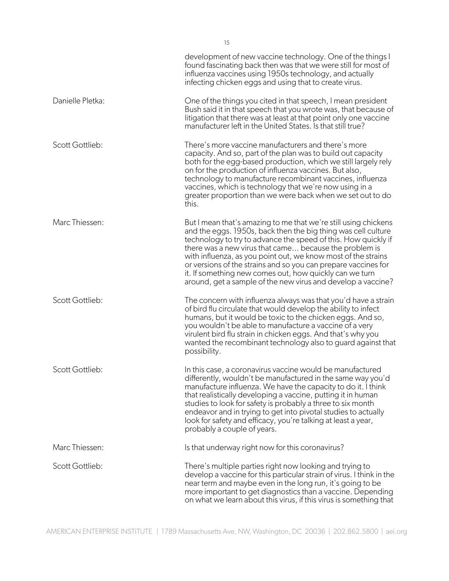|                  | development of new vaccine technology. One of the things I<br>found fascinating back then was that we were still for most of<br>influenza vaccines using 1950s technology, and actually<br>infecting chicken eggs and using that to create virus.                                                                                                                                                                                                                                                                          |
|------------------|----------------------------------------------------------------------------------------------------------------------------------------------------------------------------------------------------------------------------------------------------------------------------------------------------------------------------------------------------------------------------------------------------------------------------------------------------------------------------------------------------------------------------|
| Danielle Pletka: | One of the things you cited in that speech, I mean president<br>Bush said it in that speech that you wrote was, that because of<br>litigation that there was at least at that point only one vaccine<br>manufacturer left in the United States. Is that still true?                                                                                                                                                                                                                                                        |
| Scott Gottlieb:  | There's more vaccine manufacturers and there's more<br>capacity. And so, part of the plan was to build out capacity<br>both for the egg-based production, which we still largely rely<br>on for the production of influenza vaccines. But also,<br>technology to manufacture recombinant vaccines, influenza<br>vaccines, which is technology that we're now using in a<br>greater proportion than we were back when we set out to do<br>this.                                                                             |
| Marc Thiessen:   | But I mean that's amazing to me that we're still using chickens<br>and the eggs. 1950s, back then the big thing was cell culture<br>technology to try to advance the speed of this. How quickly if<br>there was a new virus that came because the problem is<br>with influenza, as you point out, we know most of the strains<br>or versions of the strains and so you can prepare vaccines for<br>it. If something new comes out, how quickly can we turn<br>around, get a sample of the new virus and develop a vaccine? |
| Scott Gottlieb:  | The concern with influenza always was that you'd have a strain<br>of bird flu circulate that would develop the ability to infect<br>humans, but it would be toxic to the chicken eggs. And so,<br>you wouldn't be able to manufacture a vaccine of a very<br>virulent bird flu strain in chicken eggs. And that's why you<br>wanted the recombinant technology also to quard against that<br>possibility.                                                                                                                  |
| Scott Gottlieb:  | In this case, a coronavirus vaccine would be manufactured<br>differently, wouldn't be manufactured in the same way you'd<br>manufacture influenza. We have the capacity to do it. I think<br>that realistically developing a vaccine, putting it in human<br>studies to look for safety is probably a three to six month<br>endeavor and in trying to get into pivotal studies to actually<br>look for safety and efficacy, you're talking at least a year,<br>probably a couple of years.                                 |
| Marc Thiessen:   | Is that underway right now for this coronavirus?                                                                                                                                                                                                                                                                                                                                                                                                                                                                           |
| Scott Gottlieb:  | There's multiple parties right now looking and trying to<br>develop a vaccine for this particular strain of virus. I think in the<br>near term and maybe even in the long run, it's going to be<br>more important to get diagnostics than a vaccine. Depending<br>on what we learn about this virus, if this virus is something that                                                                                                                                                                                       |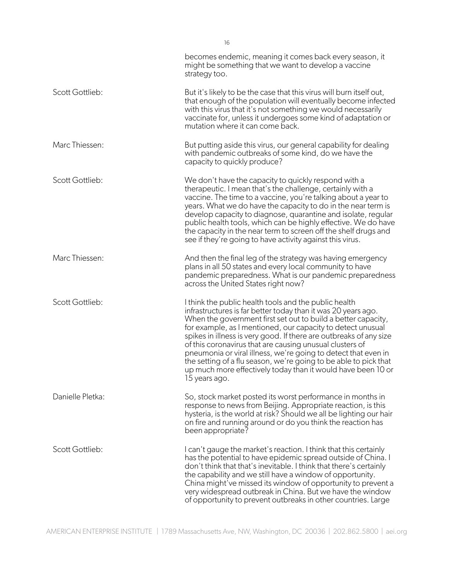|                  | becomes endemic, meaning it comes back every season, it<br>might be something that we want to develop a vaccine<br>strategy too.                                                                                                                                                                                                                                                                                                                                                                                                                                                                                |
|------------------|-----------------------------------------------------------------------------------------------------------------------------------------------------------------------------------------------------------------------------------------------------------------------------------------------------------------------------------------------------------------------------------------------------------------------------------------------------------------------------------------------------------------------------------------------------------------------------------------------------------------|
| Scott Gottlieb:  | But it's likely to be the case that this virus will burn itself out,<br>that enough of the population will eventually become infected<br>with this virus that it's not something we would necessarily<br>vaccinate for, unless it undergoes some kind of adaptation or<br>mutation where it can come back.                                                                                                                                                                                                                                                                                                      |
| Marc Thiessen:   | But putting aside this virus, our general capability for dealing<br>with pandemic outbreaks of some kind, do we have the<br>capacity to quickly produce?                                                                                                                                                                                                                                                                                                                                                                                                                                                        |
| Scott Gottlieb:  | We don't have the capacity to quickly respond with a<br>therapeutic. I mean that's the challenge, certainly with a<br>vaccine. The time to a vaccine, you're talking about a year to<br>years. What we do have the capacity to do in the near term is<br>develop capacity to diagnose, quarantine and isolate, regular<br>public health tools, which can be highly effective. We do have<br>the capacity in the near term to screen off the shelf drugs and<br>see if they're going to have activity against this virus.                                                                                        |
| Marc Thiessen:   | And then the final leg of the strategy was having emergency<br>plans in all 50 states and every local community to have<br>pandemic preparedness. What is our pandemic preparedness<br>across the United States right now?                                                                                                                                                                                                                                                                                                                                                                                      |
| Scott Gottlieb:  | I think the public health tools and the public health<br>infrastructures is far better today than it was 20 years ago.<br>When the government first set out to build a better capacity,<br>for example, as I mentioned, our capacity to detect unusual<br>spikes in illness is very good. If there are outbreaks of any size<br>of this coronavirus that are causing unusual clusters of<br>pneumonia or viral illness, we're going to detect that even in<br>the setting of a flu season, we're going to be able to pick that<br>up much more effectively today than it would have been 10 or<br>15 years ago. |
| Danielle Pletka: | So, stock market posted its worst performance in months in<br>response to news from Beijing. Appropriate reaction, is this<br>hysteria, is the world at risk? Should we all be lighting our hair<br>on fire and running around or do you think the reaction has<br>been appropriate?                                                                                                                                                                                                                                                                                                                            |
| Scott Gottlieb:  | I can't gauge the market's reaction. I think that this certainly<br>has the potential to have epidemic spread outside of China. I<br>don't think that that's inevitable. I think that there's certainly<br>the capability and we still have a window of opportunity.<br>China might've missed its window of opportunity to prevent a<br>very widespread outbreak in China. But we have the window<br>of opportunity to prevent outbreaks in other countries. Large                                                                                                                                              |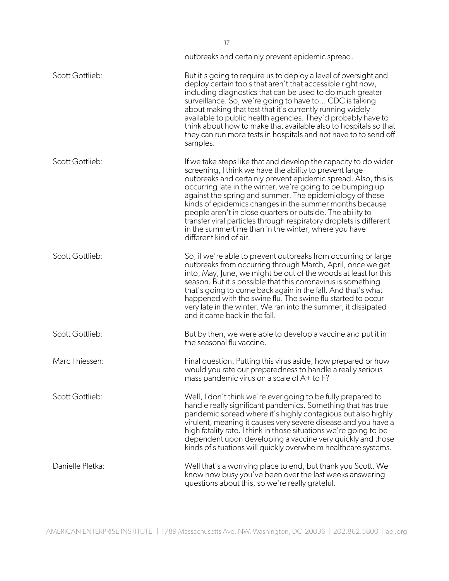|                  | outbreaks and certainly prevent epidemic spread.                                                                                                                                                                                                                                                                                                                                                                                                                                                                                                                                                        |
|------------------|---------------------------------------------------------------------------------------------------------------------------------------------------------------------------------------------------------------------------------------------------------------------------------------------------------------------------------------------------------------------------------------------------------------------------------------------------------------------------------------------------------------------------------------------------------------------------------------------------------|
| Scott Gottlieb:  | But it's going to require us to deploy a level of oversight and<br>deploy certain tools that aren't that accessible right now,<br>including diagnostics that can be used to do much greater<br>surveillance. So, we're going to have to CDC is talking<br>about making that test that it's currently running widely<br>available to public health agencies. They'd probably have to<br>think about how to make that available also to hospitals so that<br>they can run more tests in hospitals and not have to to send off<br>samples.                                                                 |
| Scott Gottlieb:  | If we take steps like that and develop the capacity to do wider<br>screening, I think we have the ability to prevent large<br>outbreaks and certainly prevent epidemic spread. Also, this is<br>occurring late in the winter, we're going to be bumping up<br>against the spring and summer. The epidemiology of these<br>kinds of epidemics changes in the summer months because<br>people aren't in close quarters or outside. The ability to<br>transfer viral particles through respiratory droplets is different<br>in the summertime than in the winter, where you have<br>different kind of air. |
| Scott Gottlieb:  | So, if we're able to prevent outbreaks from occurring or large<br>outbreaks from occurring through March, April, once we get<br>into, May, June, we might be out of the woods at least for this<br>season. But it's possible that this coronavirus is something<br>that's going to come back again in the fall. And that's what<br>happened with the swine flu. The swine flu started to occur<br>very late in the winter. We ran into the summer, it dissipated<br>and it came back in the fall.                                                                                                       |
| Scott Gottlieb:  | But by then, we were able to develop a vaccine and put it in<br>the seasonal flu vaccine.                                                                                                                                                                                                                                                                                                                                                                                                                                                                                                               |
| Marc Thiessen:   | Final question. Putting this virus aside, how prepared or how<br>would you rate our preparedness to handle a really serious<br>mass pandemic virus on a scale of A+ to F?                                                                                                                                                                                                                                                                                                                                                                                                                               |
| Scott Gottlieb:  | Well, I don't think we're ever going to be fully prepared to<br>handle really significant pandemics. Something that has true<br>pandemic spread where it's highly contagious but also highly<br>virulent, meaning it causes very severe disease and you have a<br>high fatality rate. I think in those situations we're going to be<br>dependent upon developing a vaccine very quickly and those<br>kinds of situations will quickly overwhelm healthcare systems.                                                                                                                                     |
| Danielle Pletka: | Well that's a worrying place to end, but thank you Scott. We<br>know how busy you've been over the last weeks answering<br>questions about this, so we're really grateful.                                                                                                                                                                                                                                                                                                                                                                                                                              |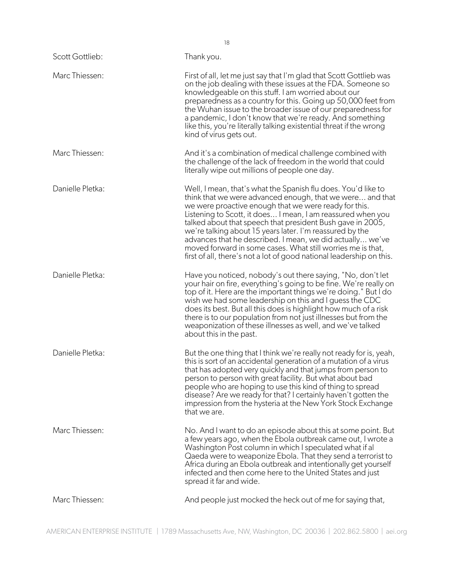| Scott Gottlieb:  | Thank you.                                                                                                                                                                                                                                                                                                                                                                                                                                                                                                                                                                       |
|------------------|----------------------------------------------------------------------------------------------------------------------------------------------------------------------------------------------------------------------------------------------------------------------------------------------------------------------------------------------------------------------------------------------------------------------------------------------------------------------------------------------------------------------------------------------------------------------------------|
| Marc Thiessen:   | First of all, let me just say that I'm glad that Scott Gottlieb was<br>on the job dealing with these issues at the FDA. Someone so<br>knowledgeable on this stuff. I am worried about our<br>preparedness as a country for this. Going up 50,000 feet from<br>the Wuhan issue to the broader issue of our preparedness for<br>a pandemic, I don't know that we're ready. And something<br>like this, you're literally talking existential threat if the wrong<br>kind of virus gets out.                                                                                         |
| Marc Thiessen:   | And it's a combination of medical challenge combined with<br>the challenge of the lack of freedom in the world that could<br>literally wipe out millions of people one day.                                                                                                                                                                                                                                                                                                                                                                                                      |
| Danielle Pletka: | Well, I mean, that's what the Spanish flu does. You'd like to<br>think that we were advanced enough, that we were and that<br>we were proactive enough that we were ready for this.<br>Listening to Scott, it does I mean, I am reassured when you<br>talked about that speech that president Bush gave in 2005,<br>we're talking about 15 years later. I'm reassured by the<br>advances that he described. I mean, we did actually we've<br>moved forward in some cases. What still worries me is that,<br>first of all, there's not a lot of good national leadership on this. |
| Danielle Pletka: | Have you noticed, nobody's out there saying, "No, don't let<br>your hair on fire, everything's going to be fine. We're really on<br>top of it. Here are the important things we're doing." But I do<br>wish we had some leadership on this and I guess the CDC<br>does its best. But all this does is highlight how much of a risk<br>there is to our population from not just illnesses but from the<br>weaponization of these illnesses as well, and we've talked<br>about this in the past.                                                                                   |
| Danielle Pletka: | But the one thing that I think we're really not ready for is, yeah,<br>this is sort of an accidental generation of a mutation of a virus<br>that has adopted very quickly and that jumps from person to<br>person to person with great facility. But what about bad<br>people who are hoping to use this kind of thing to spread<br>disease? Are we ready for that? I certainly haven't gotten the<br>impression from the hysteria at the New York Stock Exchange<br>that we are.                                                                                                |
| Marc Thiessen:   | No. And I want to do an episode about this at some point. But<br>a few years ago, when the Ebola outbreak came out, I wrote a<br>Washington Post column in which I speculated what if al<br>Qaeda were to weaponize Ebola. That they send a terrorist to<br>Africa during an Ebola outbreak and intentionally get yourself<br>infected and then come here to the United States and just<br>spread it far and wide.                                                                                                                                                               |
| Marc Thiessen:   | And people just mocked the heck out of me for saying that,                                                                                                                                                                                                                                                                                                                                                                                                                                                                                                                       |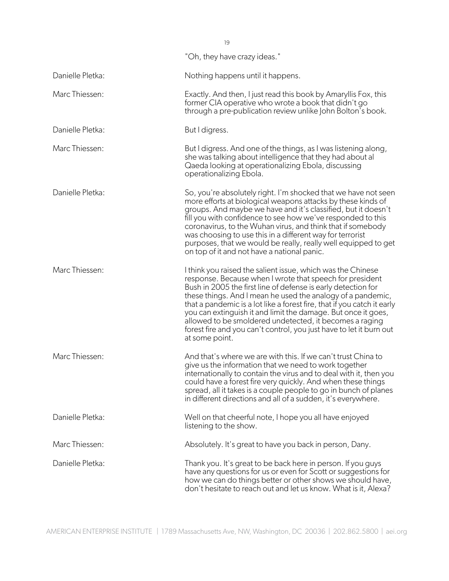|                  | "Oh, they have crazy ideas."                                                                                                                                                                                                                                                                                                                                                                                                                                                                                                                            |
|------------------|---------------------------------------------------------------------------------------------------------------------------------------------------------------------------------------------------------------------------------------------------------------------------------------------------------------------------------------------------------------------------------------------------------------------------------------------------------------------------------------------------------------------------------------------------------|
| Danielle Pletka: | Nothing happens until it happens.                                                                                                                                                                                                                                                                                                                                                                                                                                                                                                                       |
| Marc Thiessen:   | Exactly. And then, I just read this book by Amaryllis Fox, this<br>former CIA operative who wrote a book that didn't go<br>through a pre-publication review unlike John Bolton's book.                                                                                                                                                                                                                                                                                                                                                                  |
| Danielle Pletka: | But I digress.                                                                                                                                                                                                                                                                                                                                                                                                                                                                                                                                          |
| Marc Thiessen:   | But I digress. And one of the things, as I was listening along,<br>she was talking about intelligence that they had about al<br>Qaeda looking at operationalizing Ebola, discussing<br>operationalizing Ebola.                                                                                                                                                                                                                                                                                                                                          |
| Danielle Pletka: | So, you're absolutely right. I'm shocked that we have not seen<br>more efforts at biological weapons attacks by these kinds of<br>groups. And maybe we have and it's classified, but it doesn't<br>fill you with confidence to see how we've responded to this<br>coronavirus, to the Wuhan virus, and think that if somebody<br>was choosing to use this in a different way for terrorist<br>purposes, that we would be really, really well equipped to get<br>on top of it and not have a national panic.                                             |
| Marc Thiessen:   | I think you raised the salient issue, which was the Chinese<br>response. Because when I wrote that speech for president<br>Bush in 2005 the first line of defense is early detection for<br>these things. And I mean he used the analogy of a pandemic,<br>that a pandemic is a lot like a forest fire, that if you catch it early<br>you can extinguish it and limit the damage. But once it goes,<br>allowed to be smoldered undetected, it becomes a raging<br>forest fire and you can't control, you just have to let it burn out<br>at some point. |
| Marc Thiessen:   | And that's where we are with this. If we can't trust China to<br>give us the information that we need to work together<br>internationally to contain the virus and to deal with it, then you<br>could have a forest fire very quickly. And when these things<br>spread, all it takes is a couple people to go in bunch of planes<br>in different directions and all of a sudden, it's everywhere.                                                                                                                                                       |
| Danielle Pletka: | Well on that cheerful note, I hope you all have enjoyed<br>listening to the show.                                                                                                                                                                                                                                                                                                                                                                                                                                                                       |
| Marc Thiessen:   | Absolutely. It's great to have you back in person, Dany.                                                                                                                                                                                                                                                                                                                                                                                                                                                                                                |
| Danielle Pletka: | Thank you. It's great to be back here in person. If you guys<br>have any questions for us or even for Scott or suggestions for<br>how we can do things better or other shows we should have,<br>don't hesitate to reach out and let us know. What is it, Alexa?                                                                                                                                                                                                                                                                                         |